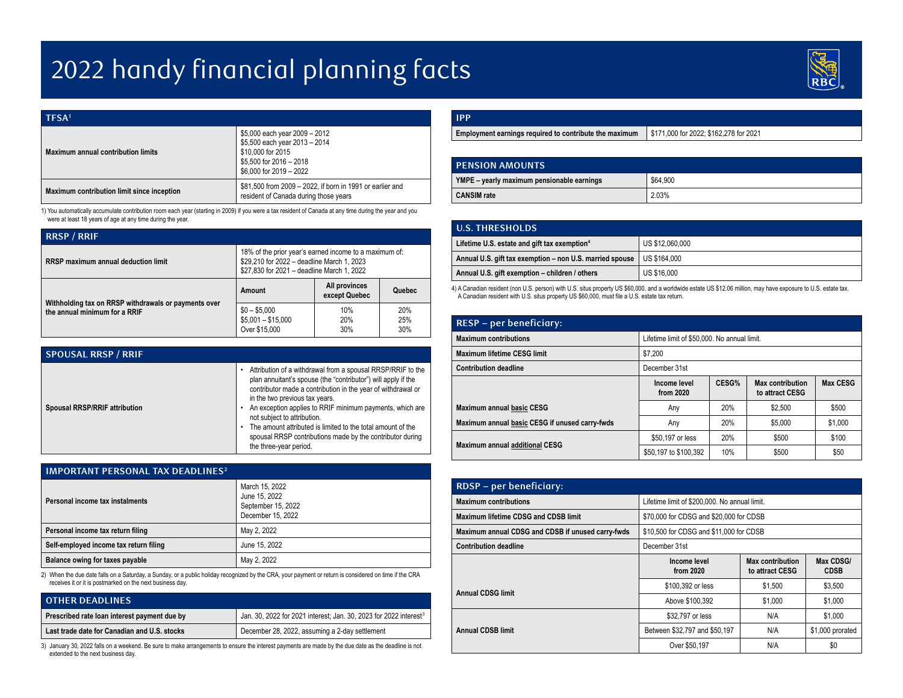## 2022 handy financial planning facts



| TFSA <sup>1</sup>                          |                                                                                                                                           |
|--------------------------------------------|-------------------------------------------------------------------------------------------------------------------------------------------|
| Maximum annual contribution limits         | \$5,000 each year 2009 - 2012<br>\$5,500 each year 2013 - 2014<br>\$10,000 for 2015<br>\$5.500 for 2016 - 2018<br>\$6,000 for 2019 - 2022 |
| Maximum contribution limit since inception | \$81,500 from 2009 - 2022, if born in 1991 or earlier and<br>resident of Canada during those years                                        |

1) You automatically accumulate contribution room each year (starting in 2009) if you were a tax resident of Canada at any time during the year and you were at least 18 years of age at any time during the year.

| <b>RRSP / RRIF</b>                                   |                                                                                                                                                    |                                |                   |
|------------------------------------------------------|----------------------------------------------------------------------------------------------------------------------------------------------------|--------------------------------|-------------------|
| RRSP maximum annual deduction limit                  | 18% of the prior year's earned income to a maximum of:<br>\$29,210 for 2022 - deadline March 1, 2023<br>\$27.830 for 2021 - deadline March 1, 2022 |                                |                   |
| Withholding tax on RRSP withdrawals or payments over | Amount                                                                                                                                             | All provinces<br>except Quebec | Quebec            |
| the annual minimum for a RRIF                        | $$0 - $5,000$<br>$$5,001 - $15,000$<br>Over \$15,000                                                                                               | 10%<br>20%<br>30%              | 20%<br>25%<br>30% |

| <b>SPOUSAL RRSP / RRIF</b>    |                                                                                                                                                                                                                                                                                                                                                                                                                                                                                 |
|-------------------------------|---------------------------------------------------------------------------------------------------------------------------------------------------------------------------------------------------------------------------------------------------------------------------------------------------------------------------------------------------------------------------------------------------------------------------------------------------------------------------------|
| Spousal RRSP/RRIF attribution | Attribution of a withdrawal from a spousal RRSP/RRIF to the<br>plan annuitant's spouse (the "contributor") will apply if the<br>contributor made a contribution in the year of withdrawal or<br>in the two previous tax years.<br>An exception applies to RRIF minimum payments, which are<br>not subject to attribution.<br>The amount attributed is limited to the total amount of the<br>spousal RRSP contributions made by the contributor during<br>the three-year period. |

| <b>IMPORTANT PERSONAL TAX DEADLINES<sup>2</sup></b> |                                                                            |  |
|-----------------------------------------------------|----------------------------------------------------------------------------|--|
| Personal income tax instalments                     | March 15, 2022<br>June 15, 2022<br>September 15, 2022<br>December 15, 2022 |  |
| Personal income tax return filing                   | May 2, 2022                                                                |  |
| Self-employed income tax return filing              | June 15, 2022                                                              |  |
| Balance owing for taxes payable                     | May 2, 2022                                                                |  |

2) When the due date falls on a Saturday, a Sunday, or a public holiday recognized by the CRA, your payment or return is considered on time if the CRA receives it or it is postmarked on the next business day.

| <b>OTHER DEADLINES</b>                       |                                                                               |
|----------------------------------------------|-------------------------------------------------------------------------------|
| Prescribed rate loan interest payment due by | Jan. 30, 2022 for 2021 interest; Jan. 30, 2023 for 2022 interest <sup>3</sup> |
| Last trade date for Canadian and U.S. stocks | December 28, 2022, assuming a 2-day settlement                                |

3) January 30, 2022 falls on a weekend. Be sure to make arrangements to ensure the interest payments are made by the due date as the deadline is not extended to the next business day.

| \$171,000 for 2022; \$162,278 for 2021<br>Employment earnings required to contribute the maximum |  |
|--------------------------------------------------------------------------------------------------|--|

| <b>PENSION AMOUNTS</b>                     |          |
|--------------------------------------------|----------|
| YMPE - yearly maximum pensionable earnings | \$64,900 |
| <b>CANSIM</b> rate                         | 2.03%    |

| <b>U.S. THRESHOLDS</b>                                   |                 |
|----------------------------------------------------------|-----------------|
| Lifetime U.S. estate and gift tax exemption <sup>4</sup> | US \$12,060,000 |
| Annual U.S. gift tax exemption - non U.S. married spouse | US \$164,000    |
| Annual U.S. gift exemption - children / others           | US \$16,000     |

4) A Canadian resident (non U.S. person) with U.S. situs property US \$60,000, and a worldwide estate US \$12.06 million, may have exposure to U.S. estate tax. A Canadian resident with U.S. situs property US \$60,000, must file a U.S. estate tax return.

| <b>RESP</b> – per beneficiary:                 |                                              |       |                                            |          |
|------------------------------------------------|----------------------------------------------|-------|--------------------------------------------|----------|
| <b>Maximum contributions</b>                   | Lifetime limit of \$50,000. No annual limit. |       |                                            |          |
| Maximum lifetime CESG limit                    | \$7.200                                      |       |                                            |          |
| <b>Contribution deadline</b>                   | December 31st                                |       |                                            |          |
|                                                | Income level<br>from 2020                    | CESG% | <b>Max contribution</b><br>to attract CESG | Max CESG |
| <b>Maximum annual basic CESG</b>               | Any                                          | 20%   | \$2,500                                    | \$500    |
| Maximum annual basic CESG if unused carry-fwds | Any                                          | 20%   | \$5,000                                    | \$1,000  |
|                                                | \$50,197 or less                             | 20%   | \$500                                      | \$100    |
| <b>Maximum annual additional CESG</b>          | \$50,197 to \$100,392                        | 10%   | \$500                                      | \$50     |

| RDSP - per beneficiary:                           |                                               |                                            |                          |
|---------------------------------------------------|-----------------------------------------------|--------------------------------------------|--------------------------|
| <b>Maximum contributions</b>                      | Lifetime limit of \$200,000. No annual limit. |                                            |                          |
| Maximum lifetime CDSG and CDSB limit              | \$70,000 for CDSG and \$20,000 for CDSB       |                                            |                          |
| Maximum annual CDSG and CDSB if unused carry-fwds | \$10,500 for CDSG and \$11,000 for CDSB       |                                            |                          |
| <b>Contribution deadline</b>                      | December 31st                                 |                                            |                          |
|                                                   | Income level<br>from 2020                     | <b>Max contribution</b><br>to attract CESG | Max CDSG/<br><b>CDSB</b> |
| <b>Annual CDSG limit</b>                          | \$100,392 or less                             | \$1.500                                    | \$3,500                  |
|                                                   | Above \$100.392                               | \$1,000                                    | \$1,000                  |
|                                                   | \$32,797 or less                              | N/A                                        | \$1,000                  |
| <b>Annual CDSB limit</b>                          | Between \$32,797 and \$50,197                 | N/A                                        | \$1,000 prorated         |
|                                                   | Over \$50,197                                 | N/A                                        | \$0                      |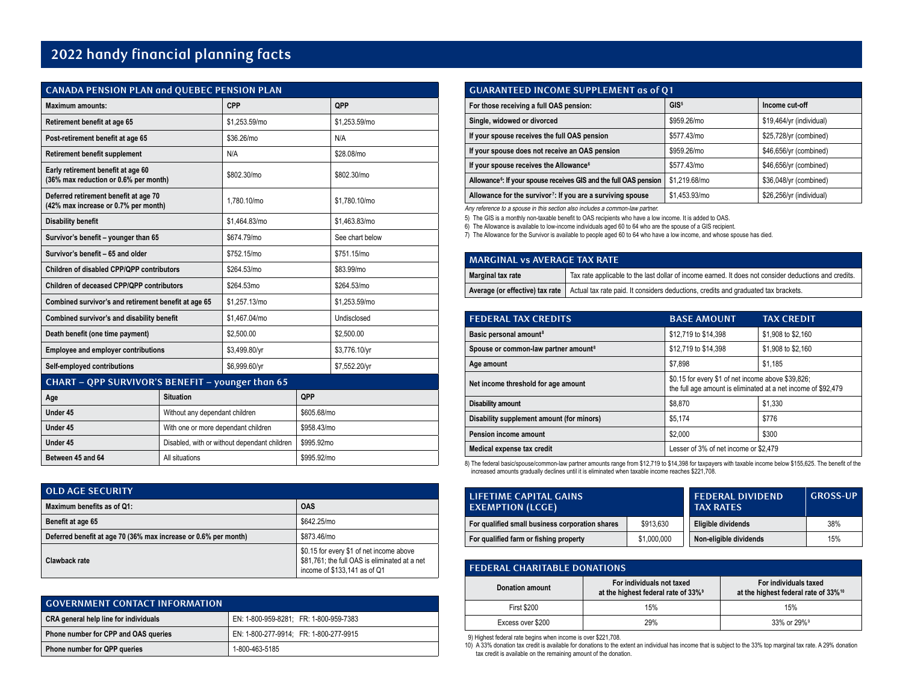## **2022 handy financial planning facts**

| <b>CANADA PENSION PLAN and QUEBEC PENSION PLAN</b>                            |                  |               |     |                 |
|-------------------------------------------------------------------------------|------------------|---------------|-----|-----------------|
| <b>Maximum amounts:</b>                                                       |                  | <b>CPP</b>    |     | QPP             |
| Retirement benefit at age 65                                                  |                  | \$1.253.59/mo |     | \$1,253.59/mo   |
| Post-retirement benefit at age 65                                             |                  | \$36.26/mo    |     | N/A             |
| <b>Retirement benefit supplement</b>                                          |                  | N/A           |     | \$28.08/mo      |
| Early retirement benefit at age 60<br>(36% max reduction or 0.6% per month)   |                  | \$802,30/mo   |     | \$802.30/mo     |
| Deferred retirement benefit at age 70<br>(42% max increase or 0.7% per month) |                  | 1.780.10/mo   |     | \$1.780.10/mo   |
| <b>Disability benefit</b>                                                     |                  | \$1.464.83/mo |     | \$1.463.83/mo   |
| Survivor's benefit - younger than 65                                          |                  | \$674.79/mo   |     | See chart below |
| Survivor's benefit - 65 and older                                             |                  | \$752.15/mo   |     | \$751.15/mo     |
| Children of disabled CPP/QPP contributors                                     |                  | \$264.53/mo   |     | \$83.99/mo      |
| Children of deceased CPP/QPP contributors                                     |                  | \$264.53mo    |     | \$264.53/mo     |
| Combined survivor's and retirement benefit at age 65                          |                  | \$1.257.13/mo |     | \$1.253.59/mo   |
| Combined survivor's and disability benefit                                    |                  | \$1,467.04/mo |     | Undisclosed     |
| Death benefit (one time payment)                                              |                  | \$2,500.00    |     | \$2,500.00      |
| <b>Employee and employer contributions</b>                                    |                  | \$3,499.80/yr |     | \$3,776.10/yr   |
| Self-employed contributions                                                   |                  | \$6,999.60/yr |     | \$7,552.20/yr   |
| CHART - OPP SURVIVOR'S BENEFIT - younger than 65                              |                  |               |     |                 |
| Age                                                                           | <b>Situation</b> |               | QPP |                 |

| Age               | Situation                                    | QPP         |
|-------------------|----------------------------------------------|-------------|
| Under 45          | Without any dependant children               | \$605.68/mo |
| Under 45          | With one or more dependant children          | \$958.43/mo |
| Under 45          | Disabled, with or without dependant children | \$995.92mo  |
| Between 45 and 64 | All situations                               | \$995.92/mo |

| <b>OLD AGE SECURITY</b>                                         |                                                                                                                           |
|-----------------------------------------------------------------|---------------------------------------------------------------------------------------------------------------------------|
| Maximum benefits as of Q1:                                      | <b>OAS</b>                                                                                                                |
| Benefit at age 65                                               | \$642.25/mo                                                                                                               |
| Deferred benefit at age 70 (36% max increase or 0.6% per month) | \$873.46/mo                                                                                                               |
| Clawback rate                                                   | \$0.15 for every \$1 of net income above<br>\$81,761; the full OAS is eliminated at a net<br>income of \$133,141 as of Q1 |

| <b>COVERNMENT CONTACT INFORMATION</b> |                                        |
|---------------------------------------|----------------------------------------|
| CRA general help line for individuals | EN: 1-800-959-8281: FR: 1-800-959-7383 |
| Phone number for CPP and OAS queries  | EN: 1-800-277-9914: FR: 1-800-277-9915 |
| Phone number for QPP queries          | 1-800-463-5185                         |

| <b>GUARANTEED INCOME SUPPLEMENT as of Q1</b>                                                                         |                  |                          |  |  |
|----------------------------------------------------------------------------------------------------------------------|------------------|--------------------------|--|--|
| For those receiving a full OAS pension:                                                                              | GIS <sup>5</sup> | Income cut-off           |  |  |
| Single, widowed or divorced                                                                                          | \$959.26/mo      | \$19,464/yr (individual) |  |  |
| If your spouse receives the full OAS pension                                                                         | \$577,43/mo      | \$25,728/yr (combined)   |  |  |
| If your spouse does not receive an OAS pension                                                                       | \$959.26/mo      | \$46,656/yr (combined)   |  |  |
| If your spouse receives the Allowance <sup>6</sup>                                                                   | \$577,43/mo      | \$46,656/yr (combined)   |  |  |
| Allowance <sup>6</sup> : If your spouse receives GIS and the full OAS pension                                        | \$1.219.68/mo    | \$36,048/yr (combined)   |  |  |
| Allowance for the survivor <sup>7</sup> : If you are a surviving spouse<br>\$1.453.93/mo<br>\$26,256/yr (individual) |                  |                          |  |  |

Any reference to a spouse in this section also includes a common-law partner.

5) The GIS is a monthly non-taxable benefit to OAS recipients who have a low income. It is added to OAS.

6) The Allowance is available to low-income individuals aged 60 to 64 who are the spouse of a GIS recipient.

7) The Allowance for the Survivor is available to people aged 60 to 64 who have a low income, and whose spouse has died.

| <b>MARGINAL vs AVERAGE TAX RATE</b> |                                                                                                                      |  |
|-------------------------------------|----------------------------------------------------------------------------------------------------------------------|--|
| Marginal tax rate                   | Tax rate applicable to the last dollar of income earned. It does not consider deductions and credits.                |  |
|                                     | Average (or effective) tax rate   Actual tax rate paid. It considers deductions, credits and graduated tax brackets. |  |

| <b>FEDERAL TAX CREDITS</b>                       | <b>BASE AMOUNT</b>                                                                                                  | TAX CREDIT         |  |
|--------------------------------------------------|---------------------------------------------------------------------------------------------------------------------|--------------------|--|
| Basic personal amount <sup>8</sup>               | \$12,719 to \$14,398                                                                                                | \$1,908 to \$2,160 |  |
| Spouse or common-law partner amount <sup>8</sup> | \$12,719 to \$14,398                                                                                                | \$1,908 to \$2,160 |  |
| Age amount                                       | \$7.898                                                                                                             | \$1.185            |  |
| Net income threshold for age amount              | \$0.15 for every \$1 of net income above \$39,826;<br>the full age amount is eliminated at a net income of \$92,479 |                    |  |
| Disability amount                                | \$1,330<br>\$8.870                                                                                                  |                    |  |
| Disability supplement amount (for minors)        | \$776<br>\$5.174                                                                                                    |                    |  |
| Pension income amount                            | \$2,000<br>\$300                                                                                                    |                    |  |
| Medical expense tax credit                       | Lesser of 3% of net income or \$2,479                                                                               |                    |  |

8) The federal basic/spouse/common-law partner amounts range from \$12,719 to \$14,398 for taxpayers with taxable income below \$155,625. The benefit of the increased amounts gradually declines until it is eliminated when taxable income reaches \$221,708.

| LIFETIME CAPITAL GAINS<br><b>EXEMPTION (LCGE)</b> |             | <b>FEDERAL DIVIDEND</b><br><b>TAX RATES</b> | <b>GROSS-UP</b> |
|---------------------------------------------------|-------------|---------------------------------------------|-----------------|
| For qualified small business corporation shares   | \$913,630   | Eligible dividends                          | 38%             |
| For qualified farm or fishing property            | \$1,000,000 | Non-eligible dividends                      | 15%             |

| <b>FEDERAL CHARITABLE DONATIONS</b> |                                                                              |                                                                           |  |  |
|-------------------------------------|------------------------------------------------------------------------------|---------------------------------------------------------------------------|--|--|
| Donation amount                     | For individuals not taxed<br>at the highest federal rate of 33% <sup>9</sup> | For individuals taxed<br>at the highest federal rate of 33% <sup>10</sup> |  |  |
| <b>First \$200</b>                  | 15%                                                                          | 15%                                                                       |  |  |
| Excess over \$200                   | 29%                                                                          | 33% or 29% <sup>9</sup>                                                   |  |  |

9) Highest federal rate begins when income is over \$221,708. 10) A 33% donation tax credit is available for donations to the extent an individual has income that is subject to the 33% top marginal tax rate. A 29% donation tax credit is available on the remaining amount of the donation.